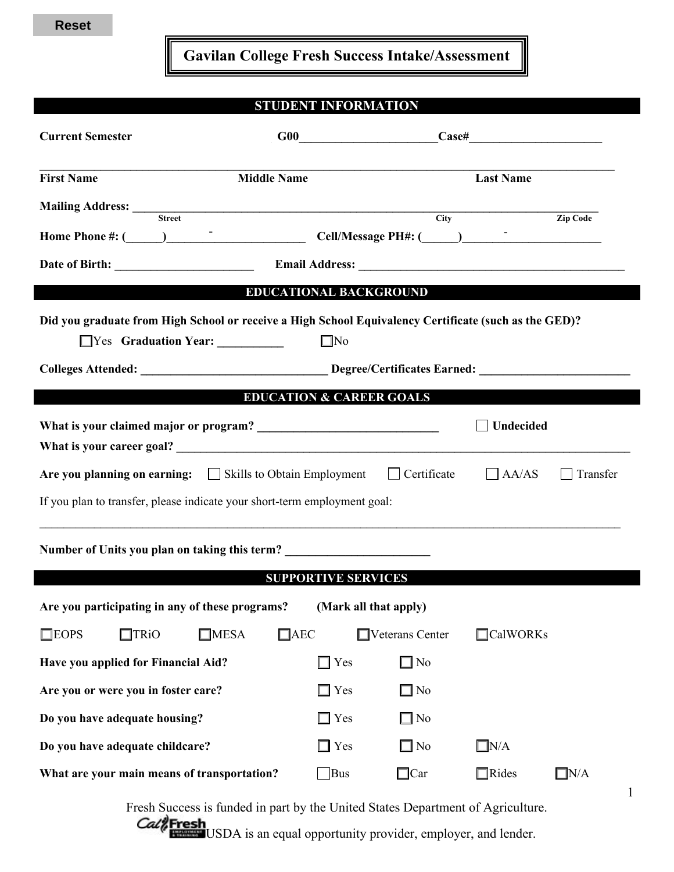**Gavilan College Fresh Success Intake/Assessment**

## **STUDENT INFORMATION**

| <b>Current Semester</b>                                                                                                                       |                                                                                  |                               | $G00$ $\qquad \qquad \qquad \text{Case#}$ |  |  |  |  |  |
|-----------------------------------------------------------------------------------------------------------------------------------------------|----------------------------------------------------------------------------------|-------------------------------|-------------------------------------------|--|--|--|--|--|
| <b>First Name</b>                                                                                                                             | <b>Middle Name</b>                                                               |                               | <b>Last Name</b>                          |  |  |  |  |  |
| <b>Mailing Address:</b> Street                                                                                                                |                                                                                  | $\overline{\text{City}}$      | Zip Code                                  |  |  |  |  |  |
|                                                                                                                                               |                                                                                  |                               |                                           |  |  |  |  |  |
|                                                                                                                                               |                                                                                  |                               |                                           |  |  |  |  |  |
|                                                                                                                                               |                                                                                  | <b>EDUCATIONAL BACKGROUND</b> |                                           |  |  |  |  |  |
| Did you graduate from High School or receive a High School Equivalency Certificate (such as the GED)?<br>Yes Graduation Year:<br>$\square$ No |                                                                                  |                               |                                           |  |  |  |  |  |
| Colleges Attended: _________________________________Degree/Certificates Earned: ____________________                                          |                                                                                  |                               |                                           |  |  |  |  |  |
|                                                                                                                                               | <b>EDUCATION &amp; CAREER GOALS</b>                                              |                               |                                           |  |  |  |  |  |
| <b>Undecided</b>                                                                                                                              |                                                                                  |                               |                                           |  |  |  |  |  |
| Are you planning on earning: $\Box$ Skills to Obtain Employment $\Box$ Certificate                                                            |                                                                                  |                               | $A\angle$ AS Transfer                     |  |  |  |  |  |
| If you plan to transfer, please indicate your short-term employment goal:                                                                     |                                                                                  |                               |                                           |  |  |  |  |  |
|                                                                                                                                               | Number of Units you plan on taking this term? __________________________________ |                               |                                           |  |  |  |  |  |
|                                                                                                                                               | <b>SUPPORTIVE SERVICES</b>                                                       |                               |                                           |  |  |  |  |  |
| Are you participating in any of these programs?                                                                                               |                                                                                  | (Mark all that apply)         |                                           |  |  |  |  |  |
| $\square$ EOPS<br>$\Box$ TRiO<br>$\square$ MESA                                                                                               | $\Box$ AEC                                                                       | $\Box$ Veterans Center        | $\Box$ CalWORKs                           |  |  |  |  |  |
| Have you applied for Financial Aid?                                                                                                           | $\Box$ Yes                                                                       | $\Box$ No                     |                                           |  |  |  |  |  |
| Are you or were you in foster care?                                                                                                           | $\Box$ Yes                                                                       | $\square$ No                  |                                           |  |  |  |  |  |
| Do you have adequate housing?                                                                                                                 | $\Box$ Yes                                                                       | $\square$ No                  |                                           |  |  |  |  |  |
| Do you have adequate childcare?                                                                                                               | $\Box$ Yes                                                                       | $\Box$ No                     | $\Box$ N/A                                |  |  |  |  |  |
| What are your main means of transportation?                                                                                                   | Bus                                                                              | $\Box$ Car                    | $\Box$ Rides<br>$\square N/A$             |  |  |  |  |  |

Fresh Success is funded in part by the United States Department of Agriculture.

Call Fresh USDA is an equal opportunity provider, employer, and lender.

1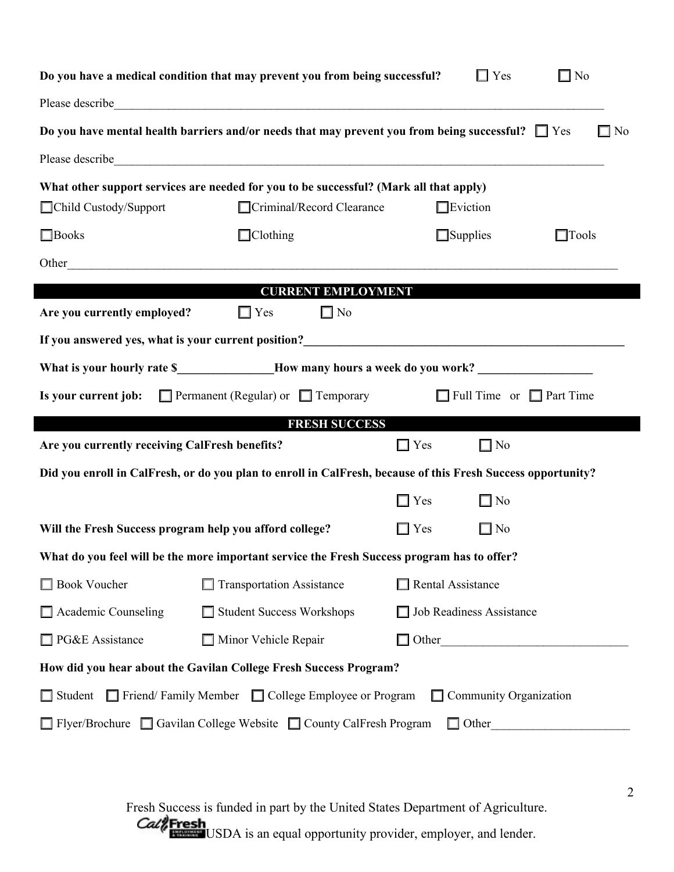|                                                                                                                                                                                                                                        | Do you have a medical condition that may prevent you from being successful?                                                                                                                                                          |                                      | $\Box$ Yes               | $\Box$ No    |  |  |  |  |  |
|----------------------------------------------------------------------------------------------------------------------------------------------------------------------------------------------------------------------------------------|--------------------------------------------------------------------------------------------------------------------------------------------------------------------------------------------------------------------------------------|--------------------------------------|--------------------------|--------------|--|--|--|--|--|
|                                                                                                                                                                                                                                        | Please describe <u>contract the contract of the contract of the contract of the contract of the contract of the contract of the contract of the contract of the contract of the contract of the contract of the contract of the </u> |                                      |                          |              |  |  |  |  |  |
| Do you have mental health barriers and/or needs that may prevent you from being successful? $\Box$ Yes<br>$\square$ No                                                                                                                 |                                                                                                                                                                                                                                      |                                      |                          |              |  |  |  |  |  |
|                                                                                                                                                                                                                                        | Please describe <u>contract the contract of the contract of the contract of the contract of the contract of the contract of the contract of the contract of the contract of the contract of the contract of the contract of the </u> |                                      |                          |              |  |  |  |  |  |
| What other support services are needed for you to be successful? (Mark all that apply)                                                                                                                                                 |                                                                                                                                                                                                                                      |                                      |                          |              |  |  |  |  |  |
| □Child Custody/Support                                                                                                                                                                                                                 | Criminal/Record Clearance                                                                                                                                                                                                            |                                      | $\Box$ Eviction          |              |  |  |  |  |  |
| $\Box$ Books                                                                                                                                                                                                                           | $\Box$ Clothing                                                                                                                                                                                                                      |                                      | $\Box$ Supplies          | $\Box$ Tools |  |  |  |  |  |
|                                                                                                                                                                                                                                        |                                                                                                                                                                                                                                      |                                      |                          |              |  |  |  |  |  |
|                                                                                                                                                                                                                                        | <b>CURRENT EMPLOYMENT</b>                                                                                                                                                                                                            |                                      |                          |              |  |  |  |  |  |
| Are you currently employed?                                                                                                                                                                                                            | $\Box$ Yes<br>$\Box$ No                                                                                                                                                                                                              |                                      |                          |              |  |  |  |  |  |
| If you answered yes, what is your current position?<br><u>Letting and the contract of the set of the set of the set of the set of the set of the set of the set of the set of the set of the set of the set of the set of the set </u> |                                                                                                                                                                                                                                      |                                      |                          |              |  |  |  |  |  |
|                                                                                                                                                                                                                                        |                                                                                                                                                                                                                                      |                                      |                          |              |  |  |  |  |  |
| <b>Is your current job:</b> $\Box$ Permanent (Regular) or $\Box$ Temporary                                                                                                                                                             |                                                                                                                                                                                                                                      | $\Box$ Full Time or $\Box$ Part Time |                          |              |  |  |  |  |  |
|                                                                                                                                                                                                                                        | <b>FRESH SUCCESS</b>                                                                                                                                                                                                                 |                                      |                          |              |  |  |  |  |  |
| Are you currently receiving CalFresh benefits?                                                                                                                                                                                         | $\Box$ Yes                                                                                                                                                                                                                           | $\Box$ No                            |                          |              |  |  |  |  |  |
|                                                                                                                                                                                                                                        | Did you enroll in CalFresh, or do you plan to enroll in CalFresh, because of this Fresh Success opportunity?                                                                                                                         |                                      |                          |              |  |  |  |  |  |
|                                                                                                                                                                                                                                        |                                                                                                                                                                                                                                      | $\Box$ Yes                           | $\Box$ No                |              |  |  |  |  |  |
| Will the Fresh Success program help you afford college?                                                                                                                                                                                | $\Box$ Yes                                                                                                                                                                                                                           | $\Box$ No                            |                          |              |  |  |  |  |  |
| What do you feel will be the more important service the Fresh Success program has to offer?                                                                                                                                            |                                                                                                                                                                                                                                      |                                      |                          |              |  |  |  |  |  |
| <b>Book Voucher</b>                                                                                                                                                                                                                    | Transportation Assistance                                                                                                                                                                                                            |                                      | $\Box$ Rental Assistance |              |  |  |  |  |  |
| $\Box$ Academic Counseling                                                                                                                                                                                                             | Student Success Workshops                                                                                                                                                                                                            | Job Readiness Assistance             |                          |              |  |  |  |  |  |
| □ PG&E Assistance                                                                                                                                                                                                                      | Minor Vehicle Repair                                                                                                                                                                                                                 |                                      |                          | $\Box$ Other |  |  |  |  |  |
| How did you hear about the Gavilan College Fresh Success Program?                                                                                                                                                                      |                                                                                                                                                                                                                                      |                                      |                          |              |  |  |  |  |  |
| Student Friend/Family Member College Employee or Program<br>$\Box$ Community Organization                                                                                                                                              |                                                                                                                                                                                                                                      |                                      |                          |              |  |  |  |  |  |
| □ Flyer/Brochure □ Gavilan College Website □ County CalFresh Program                                                                                                                                                                   |                                                                                                                                                                                                                                      |                                      |                          |              |  |  |  |  |  |

Fresh Success is funded in part by the United States Department of Agriculture. USDA is an equal opportunity provider, employer, and lender.